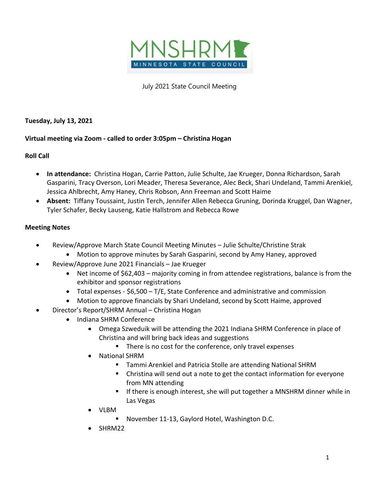

July 2021 State Council Meeting

**Tuesday, July 13, 2021**

## **Virtual meeting via Zoom - called to order 3:05pm – Christina Hogan**

## **Roll Call**

- **In attendance:** Christina Hogan, Carrie Patton, Julie Schulte, Jae Krueger, Donna Richardson, Sarah Gasparini, Tracy Overson, Lori Meader, Theresa Severance, Alec Beck, Shari Undeland, Tammi Arenkiel, Jessica Ahlbrecht, Amy Haney, Chris Robson, Ann Freeman and Scott Haime
- **Absent:** Tiffany Toussaint, Justin Terch, Jennifer Allen Rebecca Gruning, Dorinda Kruggel, Dan Wagner, Tyler Schafer, Becky Lauseng, Katie Hallstrom and Rebecca Rowe

## **Meeting Notes**

- Review/Approve March State Council Meeting Minutes Julie Schulte/Christine Strak
	- Motion to approve minutes by Sarah Gasparini, second by Amy Haney, approved
- Review/Approve June 2021 Financials Jae Krueger
	- Net income of \$62,403 majority coming in from attendee registrations, balance is from the exhibitor and sponsor registrations
	- Total expenses \$6,500 T/E, State Conference and administrative and commission
	- Motion to approve financials by Shari Undeland, second by Scott Haime, approved
	- Director's Report/SHRM Annual Christina Hogan
		- Indiana SHRM Conference
			- Omega Szweduik will be attending the 2021 Indiana SHRM Conference in place of Christina and will bring back ideas and suggestions
				- There is no cost for the conference, only travel expenses
			- National SHRM
				- Tammi Arenkiel and Patricia Stolle are attending National SHRM
				- Christina will send out a note to get the contact information for everyone from MN attending
				- If there is enough interest, she will put together a MNSHRM dinner while in Las Vegas
			- VLBM
				- § November 11-13, Gaylord Hotel, Washington D.C.
			- SHRM22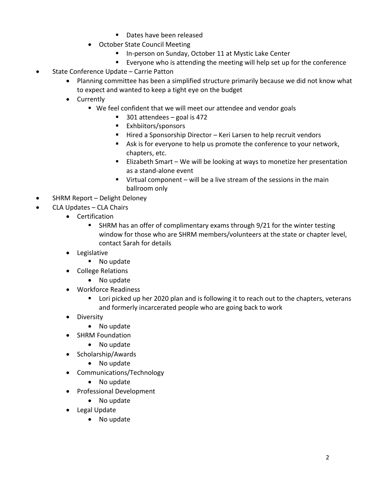- Dates have been released
- October State Council Meeting
	- In-person on Sunday, October 11 at Mystic Lake Center
	- Everyone who is attending the meeting will help set up for the conference
- State Conference Update Carrie Patton
	- Planning committee has been a simplified structure primarily because we did not know what to expect and wanted to keep a tight eye on the budget
	- Currently
		- We feel confident that we will meet our attendee and vendor goals
			- 301 attendees goal is 472
			- Exhbiitors/sponsors
			- Hired a Sponsorship Director Keri Larsen to help recruit vendors
			- Ask is for everyone to help us promote the conference to your network, chapters, etc.
			- Elizabeth Smart We will be looking at ways to monetize her presentation as a stand-alone event
			- $\blacksquare$  Virtual component will be a live stream of the sessions in the main ballroom only
- SHRM Report Delight Deloney
- CLA Updates CLA Chairs
	- Certification
		- § SHRM has an offer of complimentary exams through 9/21 for the winter testing window for those who are SHRM members/volunteers at the state or chapter level, contact Sarah for details
	- Legislative
		- No update
	- College Relations
		- No update
	- Workforce Readiness
		- Lori picked up her 2020 plan and is following it to reach out to the chapters, veterans and formerly incarcerated people who are going back to work
	- Diversity
		- No update
	- SHRM Foundation
		- No update
	- Scholarship/Awards
		- No update
	- Communications/Technology
		- No update
	- Professional Development
		- No update
	- Legal Update
		- No update